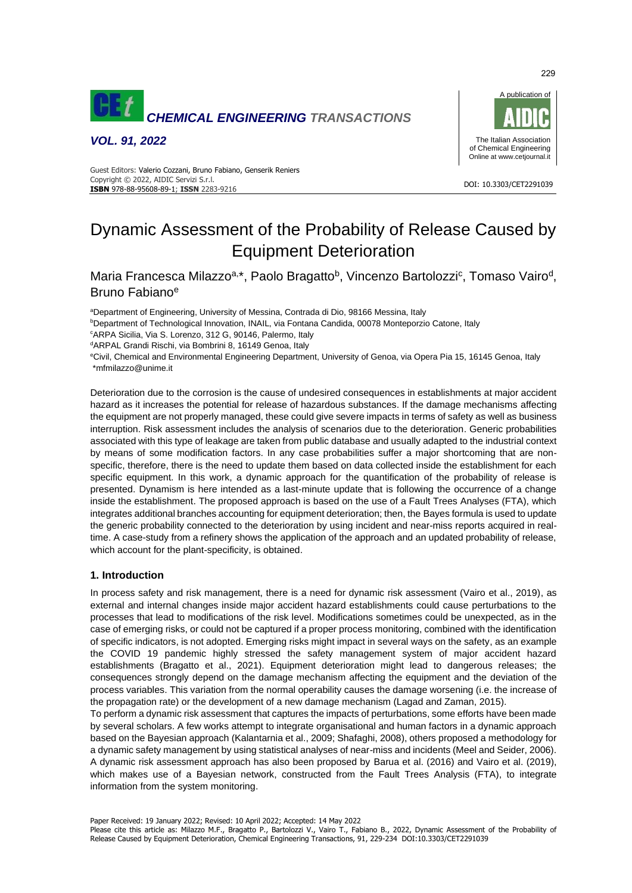

*VOL. 91, 2022*



#### DOI: 10.3303/CET2291039 **ISBN** 978-88-95608-89-1; **ISSN** 2283-9216 Guest Editors: Valerio Cozzani, Bruno Fabiano, Genserik Reniers Copyright © 2022, AIDIC Servizi S.r.l.

# Dynamic Assessment of the Probability of Release Caused by Equipment Deterioration

Maria Francesca Milazzo<sup>a,\*</sup>, Paolo Bragatto<sup>b</sup>, Vincenzo Bartolozzi<sup>c</sup>, Tomaso Vairo<sup>d</sup>, Bruno Fabiano<sup>e</sup>

<sup>a</sup>Department of Engineering, University of Messina, Contrada di Dio, 98166 Messina, Italy **bDepartment of Technological Innovation, INAIL, via Fontana Candida, 00078 Monteporzio Catone, Italy** <sup>c</sup>ARPA Sicilia, Via S. Lorenzo, 312 G, 90146, Palermo, Italy

dARPAL Grandi Rischi, via Bombrini 8, 16149 Genoa, Italy

<sup>e</sup>Civil, Chemical and Environmental Engineering Department, University of Genoa, via Opera Pia 15, 16145 Genoa, Italy \*mfmilazzo@unime.it

Deterioration due to the corrosion is the cause of undesired consequences in establishments at major accident hazard as it increases the potential for release of hazardous substances. If the damage mechanisms affecting the equipment are not properly managed, these could give severe impacts in terms of safety as well as business interruption. Risk assessment includes the analysis of scenarios due to the deterioration. Generic probabilities associated with this type of leakage are taken from public database and usually adapted to the industrial context by means of some modification factors. In any case probabilities suffer a major shortcoming that are nonspecific, therefore, there is the need to update them based on data collected inside the establishment for each specific equipment. In this work, a dynamic approach for the quantification of the probability of release is presented. Dynamism is here intended as a last-minute update that is following the occurrence of a change inside the establishment. The proposed approach is based on the use of a Fault Trees Analyses (FTA), which integrates additional branches accounting for equipment deterioration; then, the Bayes formula is used to update the generic probability connected to the deterioration by using incident and near-miss reports acquired in realtime. A case-study from a refinery shows the application of the approach and an updated probability of release, which account for the plant-specificity, is obtained.

# **1. Introduction**

In process safety and risk management, there is a need for dynamic risk assessment (Vairo et al., 2019), as external and internal changes inside major accident hazard establishments could cause perturbations to the processes that lead to modifications of the risk level. Modifications sometimes could be unexpected, as in the case of emerging risks, or could not be captured if a proper process monitoring, combined with the identification of specific indicators, is not adopted. Emerging risks might impact in several ways on the safety, as an example the COVID 19 pandemic highly stressed the safety management system of major accident hazard establishments (Bragatto et al., 2021). Equipment deterioration might lead to dangerous releases; the consequences strongly depend on the damage mechanism affecting the equipment and the deviation of the process variables. This variation from the normal operability causes the damage worsening (i.e. the increase of the propagation rate) or the development of a new damage mechanism (Lagad and Zaman, 2015).

To perform a dynamic risk assessment that captures the impacts of perturbations, some efforts have been made by several scholars. A few works attempt to integrate organisational and human factors in a dynamic approach based on the Bayesian approach (Kalantarnia et al., 2009; Shafaghi, 2008), others proposed a methodology for a dynamic safety management by using statistical analyses of near-miss and incidents (Meel and Seider, 2006). A dynamic risk assessment approach has also been proposed by Barua et al. (2016) and Vairo et al. (2019), which makes use of a Bayesian network, constructed from the Fault Trees Analysis (FTA), to integrate information from the system monitoring.

Please cite this article as: Milazzo M.F., Bragatto P., Bartolozzi V., Vairo T., Fabiano B., 2022, Dynamic Assessment of the Probability of Release Caused by Equipment Deterioration, Chemical Engineering Transactions, 91, 229-234 DOI:10.3303/CET2291039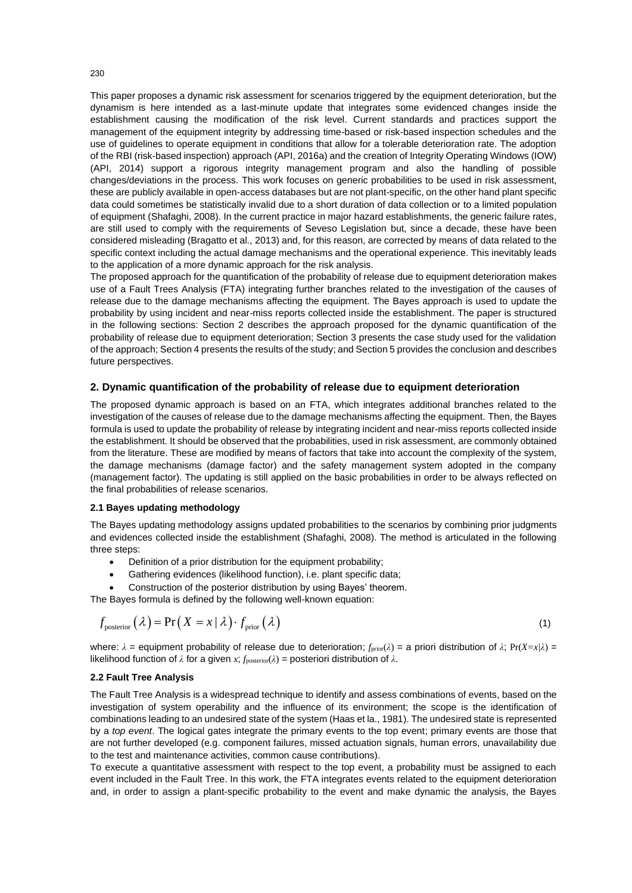This paper proposes a dynamic risk assessment for scenarios triggered by the equipment deterioration, but the dynamism is here intended as a last-minute update that integrates some evidenced changes inside the establishment causing the modification of the risk level. Current standards and practices support the management of the equipment integrity by addressing time-based or risk-based inspection schedules and the use of guidelines to operate equipment in conditions that allow for a tolerable deterioration rate. The adoption of the RBI (risk-based inspection) approach (API, 2016a) and the creation of Integrity Operating Windows (IOW) (API, 2014) support a rigorous integrity management program and also the handling of possible changes/deviations in the process. This work focuses on generic probabilities to be used in risk assessment, these are publicly available in open-access databases but are not plant-specific, on the other hand plant specific data could sometimes be statistically invalid due to a short duration of data collection or to a limited population of equipment (Shafaghi, 2008). In the current practice in major hazard establishments, the generic failure rates, are still used to comply with the requirements of Seveso Legislation but, since a decade, these have been considered misleading (Bragatto et al., 2013) and, for this reason, are corrected by means of data related to the specific context including the actual damage mechanisms and the operational experience. This inevitably leads to the application of a more dynamic approach for the risk analysis.

The proposed approach for the quantification of the probability of release due to equipment deterioration makes use of a Fault Trees Analysis (FTA) integrating further branches related to the investigation of the causes of release due to the damage mechanisms affecting the equipment. The Bayes approach is used to update the probability by using incident and near-miss reports collected inside the establishment. The paper is structured in the following sections: Section 2 describes the approach proposed for the dynamic quantification of the probability of release due to equipment deterioration; Section 3 presents the case study used for the validation of the approach; Section 4 presents the results of the study; and Section 5 provides the conclusion and describes future perspectives.

## **2. Dynamic quantification of the probability of release due to equipment deterioration**

The proposed dynamic approach is based on an FTA, which integrates additional branches related to the investigation of the causes of release due to the damage mechanisms affecting the equipment. Then, the Bayes formula is used to update the probability of release by integrating incident and near-miss reports collected inside the establishment. It should be observed that the probabilities, used in risk assessment, are commonly obtained from the literature. These are modified by means of factors that take into account the complexity of the system, the damage mechanisms (damage factor) and the safety management system adopted in the company (management factor). The updating is still applied on the basic probabilities in order to be always reflected on the final probabilities of release scenarios.

#### **2.1 Bayes updating methodology**

The Bayes updating methodology assigns updated probabilities to the scenarios by combining prior judgments and evidences collected inside the establishment (Shafaghi, 2008). The method is articulated in the following three steps:

- Definition of a prior distribution for the equipment probability;
- Gathering evidences (likelihood function), i.e. plant specific data;
- Construction of the posterior distribution by using Bayes' theorem.

The Bayes formula is defined by the following well-known equation:

$$
f_{\text{posterior}}\left(\lambda\right) = \Pr\left(X = x \mid \lambda\right) \cdot f_{\text{prior}}\left(\lambda\right) \tag{1}
$$

where: *λ* = equipment probability of release due to deterioration; *f*prior(*λ*) = a priori distribution of *λ*; Pr(*X=x|λ*) = likelihood function of  $λ$  for a given  $x$ ;  $f_{posterior}(λ)$  = posteriori distribution of  $λ$ .

#### **2.2 Fault Tree Analysis**

The Fault Tree Analysis is a widespread technique to identify and assess combinations of events, based on the investigation of system operability and the influence of its environment; the scope is the identification of combinations leading to an undesired state of the system (Haas et la., 1981). The undesired state is represented by a *top event*. The logical gates integrate the primary events to the top event; primary events are those that are not further developed (e.g. component failures, missed actuation signals, human errors, unavailability due to the test and maintenance activities, common cause contributions).

To execute a quantitative assessment with respect to the top event, a probability must be assigned to each event included in the Fault Tree. In this work, the FTA integrates events related to the equipment deterioration and, in order to assign a plant-specific probability to the event and make dynamic the analysis, the Bayes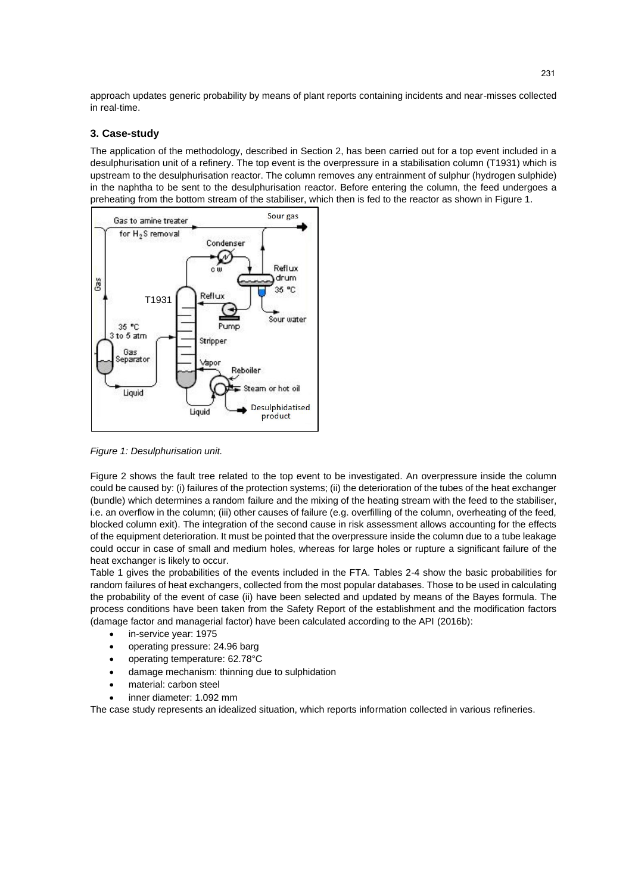approach updates generic probability by means of plant reports containing incidents and near-misses collected in real-time.

## **3. Case-study**

The application of the methodology, described in Section 2, has been carried out for a top event included in a desulphurisation unit of a refinery. The top event is the overpressure in a stabilisation column (T1931) which is upstream to the desulphurisation reactor. The column removes any entrainment of sulphur (hydrogen sulphide) in the naphtha to be sent to the desulphurisation reactor. Before entering the column, the feed undergoes a preheating from the bottom stream of the stabiliser, which then is fed to the reactor as shown in Figure 1.



*Figure 1: Desulphurisation unit.*

Figure 2 shows the fault tree related to the top event to be investigated. An overpressure inside the column could be caused by: (i) failures of the protection systems; (ii) the deterioration of the tubes of the heat exchanger (bundle) which determines a random failure and the mixing of the heating stream with the feed to the stabiliser, i.e. an overflow in the column; (iii) other causes of failure (e.g. overfilling of the column, overheating of the feed, blocked column exit). The integration of the second cause in risk assessment allows accounting for the effects of the equipment deterioration. It must be pointed that the overpressure inside the column due to a tube leakage could occur in case of small and medium holes, whereas for large holes or rupture a significant failure of the heat exchanger is likely to occur.

Table 1 gives the probabilities of the events included in the FTA. Tables 2-4 show the basic probabilities for random failures of heat exchangers, collected from the most popular databases. Those to be used in calculating the probability of the event of case (ii) have been selected and updated by means of the Bayes formula. The process conditions have been taken from the Safety Report of the establishment and the modification factors (damage factor and managerial factor) have been calculated according to the API (2016b):

- in-service year: 1975
- operating pressure: 24.96 barg
- operating temperature: 62.78°C
- damage mechanism: thinning due to sulphidation
- material: carbon steel
- inner diameter: 1.092 mm

The case study represents an idealized situation, which reports information collected in various refineries.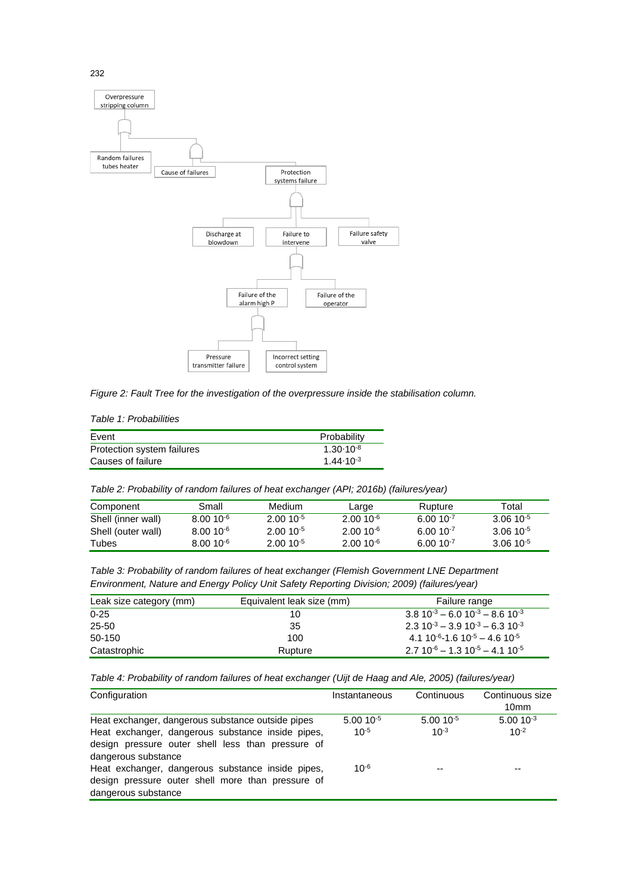

*Figure 2: Fault Tree for the investigation of the overpressure inside the stabilisation column.*

*Table 1: Probabilities*

| Event                      | Probability          |
|----------------------------|----------------------|
| Protection system failures | $1.30 \cdot 10^{-8}$ |
| Causes of failure          | $1.44 \cdot 10^{-3}$ |

*Table 2: Probability of random failures of heat exchanger (API; 2016b) (failures/year)*

| Component          | Small         | Medium        | Large           | Rupture       | Total         |
|--------------------|---------------|---------------|-----------------|---------------|---------------|
| Shell (inner wall) | $8.0010^{-6}$ | $2.0010^{-5}$ | $2.0010^{-6}$   | $6.0010^{-7}$ | $3.0610^{-5}$ |
| Shell (outer wall) | $8.0010^{-6}$ | $2.0010^{-5}$ | $2.00\,10^{-6}$ | $6.0010^{-7}$ | $3.0610^{-5}$ |
| Tubes              | $8.0010^{-6}$ | $2.0010^{-5}$ | $2.0010^{-6}$   | $6.0010^{-7}$ | $3.0610^{-5}$ |

*Table 3: Probability of random failures of heat exchanger (Flemish Government LNE Department Environment, Nature and Energy Policy Unit Safety Reporting Division; 2009) (failures/year)*

| Leak size category (mm) | Equivalent leak size (mm)<br>Failure range |                                           |  |
|-------------------------|--------------------------------------------|-------------------------------------------|--|
| $0 - 25$                | 10                                         | $3.810^{-3} - 6.010^{-3} - 8.610^{-3}$    |  |
| 25-50                   | 35                                         | $2.310^{-3} - 3.910^{-3} - 6.310^{-3}$    |  |
| 50-150                  | 100                                        | $4.1 10^{-6} - 1.6 10^{-5} - 4.6 10^{-5}$ |  |
| Catastrophic            | Rupture                                    | $2.7 10^{-6} - 1.3 10^{-5} - 4.1 10^{-5}$ |  |

*Table 4: Probability of random failures of heat exchanger (Uijt de Haag and Ale, 2005) (failures/year)*

| Configuration                                                                                                                 | Instantaneous | Continuous    | Continuous size  |
|-------------------------------------------------------------------------------------------------------------------------------|---------------|---------------|------------------|
|                                                                                                                               |               |               | 10 <sub>mm</sub> |
| Heat exchanger, dangerous substance outside pipes                                                                             | $5.0010^{-5}$ | $5.0010^{-5}$ | $5.0010^{-3}$    |
| Heat exchanger, dangerous substance inside pipes,<br>design pressure outer shell less than pressure of<br>dangerous substance | $10^{-5}$     | $10^{-3}$     | $10^{-2}$        |
| Heat exchanger, dangerous substance inside pipes,<br>design pressure outer shell more than pressure of<br>dangerous substance | $10^{-6}$     | --            | --               |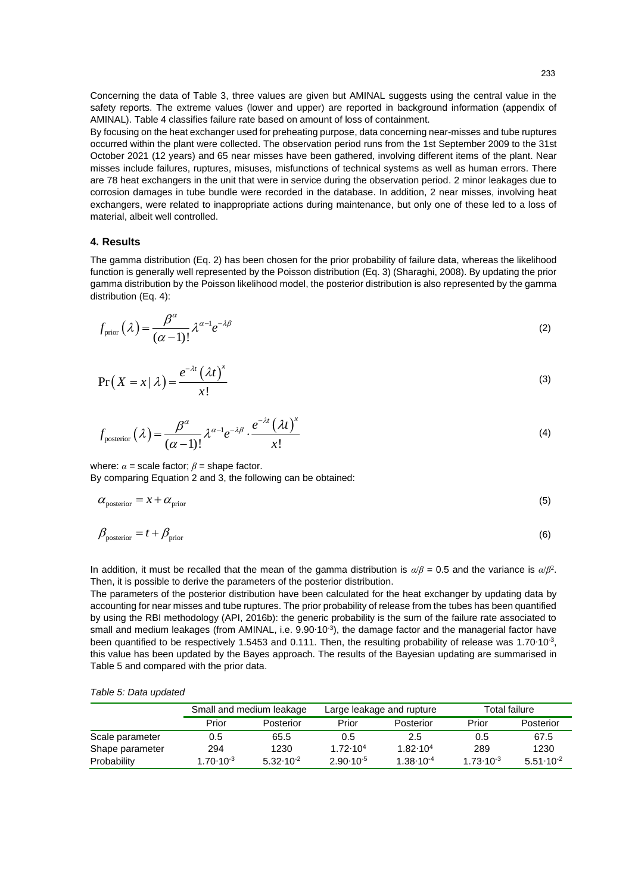Concerning the data of Table 3, three values are given but AMINAL suggests using the central value in the safety reports. The extreme values (lower and upper) are reported in background information (appendix of AMINAL). Table 4 classifies failure rate based on amount of loss of containment.

By focusing on the heat exchanger used for preheating purpose, data concerning near-misses and tube ruptures occurred within the plant were collected. The observation period runs from the 1st September 2009 to the 31st October 2021 (12 years) and 65 near misses have been gathered, involving different items of the plant. Near misses include failures, ruptures, misuses, misfunctions of technical systems as well as human errors. There are 78 heat exchangers in the unit that were in service during the observation period. 2 minor leakages due to corrosion damages in tube bundle were recorded in the database. In addition, 2 near misses, involving heat exchangers, were related to inappropriate actions during maintenance, but only one of these led to a loss of material, albeit well controlled.

## **4. Results**

The gamma distribution (Eq. 2) has been chosen for the prior probability of failure data, whereas the likelihood function is generally well represented by the Poisson distribution (Eq. 3) (Sharaghi, 2008). By updating the prior gamma distribution by the Poisson likelihood model, the posterior distribution is also represented by the gamma distribution (Eq. 4):

$$
f_{\text{prior}}(\lambda) = \frac{\beta^{\alpha}}{(\alpha - 1)!} \lambda^{\alpha - 1} e^{-\lambda \beta} \tag{2}
$$

$$
\Pr(X = x \mid \lambda) = \frac{e^{-\lambda t} (\lambda t)^{x}}{x!}
$$
\n(3)

$$
f_{\text{posterior}}\left(\lambda\right) = \frac{\beta^{\alpha}}{\left(\alpha - 1\right)!} \lambda^{\alpha - 1} e^{-\lambda \beta} \cdot \frac{e^{-\lambda t} \left(\lambda t\right)^{x}}{x!}
$$
\n<sup>(4)</sup>

where:  $\alpha$  = scale factor;  $\beta$  = shape factor. By comparing Equation 2 and 3, the following can be obtained:

$$
\alpha_{\text{posterior}} = x + \alpha_{\text{prior}} \tag{5}
$$

$$
\beta_{\text{posterior}} = t + \beta_{\text{prior}} \tag{6}
$$

In addition, it must be recalled that the mean of the gamma distribution is  $\alpha/\beta = 0.5$  and the variance is  $\alpha/\beta^2$ . Then, it is possible to derive the parameters of the posterior distribution.

The parameters of the posterior distribution have been calculated for the heat exchanger by updating data by accounting for near misses and tube ruptures. The prior probability of release from the tubes has been quantified by using the RBI methodology (API, 2016b): the generic probability is the sum of the failure rate associated to small and medium leakages (from AMINAL, i.e. 9.90·10<sup>-3</sup>), the damage factor and the managerial factor have been quantified to be respectively 1.5453 and 0.111. Then, the resulting probability of release was 1.70∙10<sup>-3</sup>, this value has been updated by the Bayes approach. The results of the Bayesian updating are summarised in Table 5 and compared with the prior data.

|  |  | Table 5: Data updated |
|--|--|-----------------------|
|--|--|-----------------------|

|                 | Small and medium leakage |                      | Large leakage and rupture |                      | Total failure        |                      |
|-----------------|--------------------------|----------------------|---------------------------|----------------------|----------------------|----------------------|
|                 | Prior                    | Posterior            | Prior                     | Posterior            | Prior                | Posterior            |
| Scale parameter | 0.5                      | 65.5                 | 0.5                       | 2.5                  | 0.5                  | 67.5                 |
| Shape parameter | 294                      | 1230                 | $1.72 \cdot 10^{4}$       | $1.82 \cdot 10^4$    | 289                  | 1230                 |
| Probability     | $1.70 \cdot 10^{-3}$     | $5.32 \cdot 10^{-2}$ | $2.90 \cdot 10^{-5}$      | $1.38 \cdot 10^{-4}$ | $1.73 \cdot 10^{-3}$ | $5.51 \cdot 10^{-2}$ |